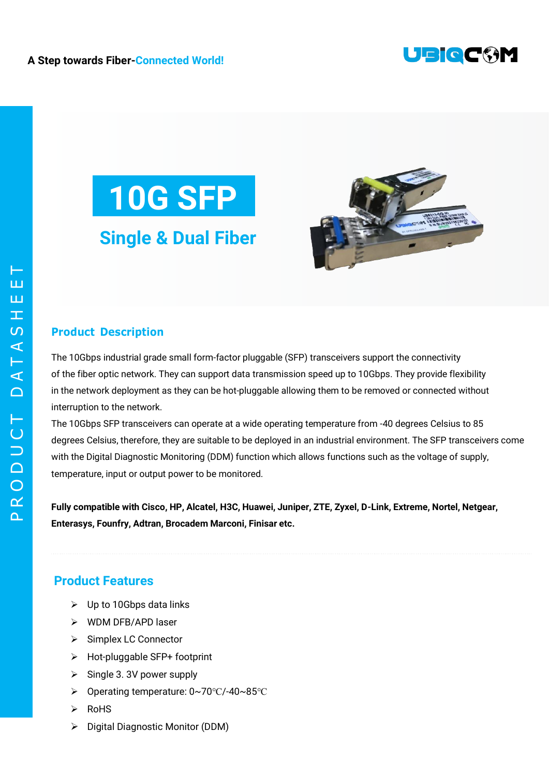





## **Product Description**

The 10Gbps industrial grade small form-factor pluggable (SFP) transceivers support the connectivity of the fiber optic network. They can support data transmission speed up to 10Gbps. They provide flexibility in the network deployment as they can be hot-pluggable allowing them to be removed or connected without interruption to the network.

The 10Gbps SFP transceivers can operate at a wide operating temperature from -40 degrees Celsius to 85 degrees Celsius, therefore, they are suitable to be deployed in an industrial environment. The SFP transceivers come with the Digital Diagnostic Monitoring (DDM) function which allows functions such as the voltage of supply, temperature, input or output power to be monitored.

**Fully compatible with Cisco, HP, Alcatel, H3C, Huawei, Juniper, ZTE, Zyxel, D-Link, Extreme, Nortel, Netgear, Enterasys, Founfry, Adtran, Brocadem Marconi, Finisar etc.**

## **Product Features**

- $\triangleright$  Up to 10Gbps data links
- WDM DFR/APD laser
- ▶ Simplex LC Connector
- Hot-pluggable SFP+ footprint
- $\triangleright$  Single 3. 3V power supply
- Operating temperature: 0~70℃/-40~85℃
- $\triangleright$  RoHS
- Digital Diagnostic Monitor (DDM)